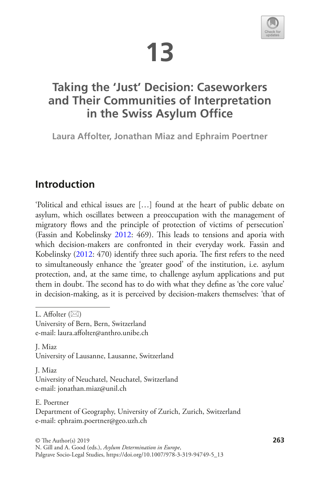# **13**



# **Taking the 'Just' Decision: Caseworkers and Their Communities of Interpretation in the Swiss Asylum Office**

**Laura Affolter, Jonathan Miaz and Ephraim Poertner**

## **Introduction**

'Political and ethical issues are […] found at the heart of public debate on asylum, which oscillates between a preoccupation with the management of migratory fows and the principle of protection of victims of persecution' (Fassin and Kobelinsky [2012](#page-19-0): 469). This leads to tensions and aporia with which decision-makers are confronted in their everyday work. Fassin and Kobelinsky ([2012](#page-19-0): 470) identify three such aporia. The first refers to the need to simultaneously enhance the 'greater good' of the institution, i.e. asylum protection, and, at the same time, to challenge asylum applications and put them in doubt. The second has to do with what they define as 'the core value' in decision-making, as it is perceived by decision-makers themselves: 'that of

L. Affolter  $(\boxtimes)$ 

University of Bern, Bern, Switzerland e-mail: laura.afolter@anthro.unibe.ch

J. Miaz University of Lausanne, Lausanne, Switzerland

J. Miaz University of Neuchatel, Neuchatel, Switzerland e-mail: jonathan.miaz@unil.ch

E. Poertner Department of Geography, University of Zurich, Zurich, Switzerland e-mail: ephraim.poertner@geo.uzh.ch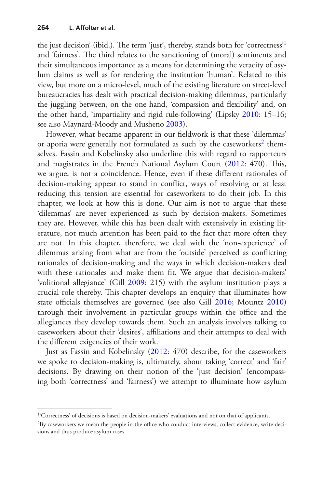the just decision' (ibid.). The term 'just', thereby, stands both for 'correctness'<sup>1</sup> and 'fairness'. The third relates to the sanctioning of (moral) sentiments and their simultaneous importance as a means for determining the veracity of asylum claims as well as for rendering the institution 'human'. Related to this view, but more on a micro-level, much of the existing literature on street-level bureaucracies has dealt with practical decision-making dilemmas, particularly the juggling between, on the one hand, 'compassion and fexibility' and, on the other hand, 'impartiality and rigid rule-following' (Lipsky [2010](#page-19-1): 15–16; see also Maynard-Moody and Musheno [2003](#page-19-2)).

However, what became apparent in our feldwork is that these 'dilemmas' or aporia were generally not formulated as such by the caseworkers<sup>2</sup> themselves. Fassin and Kobelinsky also underline this with regard to rapporteurs and magistrates in the French National Asylum Court [\(2012](#page-19-0): 470). This, we argue, is not a coincidence. Hence, even if these diferent rationales of decision-making appear to stand in confict, ways of resolving or at least reducing this tension are essential for caseworkers to do their job. In this chapter, we look at how this is done. Our aim is not to argue that these 'dilemmas' are never experienced as such by decision-makers. Sometimes they are. However, while this has been dealt with extensively in existing literature, not much attention has been paid to the fact that more often they are not. In this chapter, therefore, we deal with the 'non-experience' of dilemmas arising from what are from the 'outside' perceived as conficting rationales of decision-making and the ways in which decision-makers deal with these rationales and make them ft. We argue that decision-makers' 'volitional allegiance' (Gill [2009](#page-19-3): 215) with the asylum institution plays a crucial role thereby. This chapter develops an enquiry that illuminates how state officials themselves are governed (see also Gill [2016](#page-19-4); Mountz [2010\)](#page-20-0) through their involvement in particular groups within the office and the allegiances they develop towards them. Such an analysis involves talking to caseworkers about their 'desires', afliations and their attempts to deal with the diferent exigencies of their work.

Just as Fassin and Kobelinsky [\(2012](#page-19-0): 470) describe, for the caseworkers we spoke to decision-making is, ultimately, about taking 'correct' and 'fair' decisions. By drawing on their notion of the 'just decision' (encompassing both 'correctness' and 'fairness') we attempt to illuminate how asylum

<span id="page-1-0"></span><sup>&</sup>lt;sup>1</sup>'Correctness' of decisions is based on decision-makers' evaluations and not on that of applicants.

<span id="page-1-1"></span> ${}^{2}$ By caseworkers we mean the people in the office who conduct interviews, collect evidence, write decisions and thus produce asylum cases.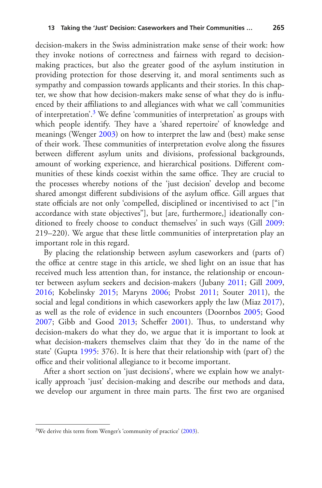decision-makers in the Swiss administration make sense of their work: how they invoke notions of correctness and fairness with regard to decisionmaking practices, but also the greater good of the asylum institution in providing protection for those deserving it, and moral sentiments such as sympathy and compassion towards applicants and their stories. In this chapter, we show that how decision-makers make sense of what they do is infuenced by their afliations to and allegiances with what we call 'communities of interpretation'[.3](#page-2-0) We defne 'communities of interpretation' as groups with which people identify. They have a 'shared repertoire' of knowledge and meanings (Wenger [2003\)](#page-20-1) on how to interpret the law and (best) make sense of their work. These communities of interpretation evolve along the fissures between diferent asylum units and divisions, professional backgrounds, amount of working experience, and hierarchical positions. Diferent communities of these kinds coexist within the same office. They are crucial to the processes whereby notions of the 'just decision' develop and become shared amongst different subdivisions of the asylum office. Gill argues that state officials are not only 'compelled, disciplined or incentivised to act ["in accordance with state objectives"], but [are, furthermore,] ideationally conditioned to freely choose to conduct themselves' in such ways (Gill [2009](#page-19-3): 219–220). We argue that these little communities of interpretation play an important role in this regard.

By placing the relationship between asylum caseworkers and (parts of) the office at centre stage in this article, we shed light on an issue that has received much less attention than, for instance, the relationship or encounter between asylum seekers and decision-makers (Jubany [2011;](#page-19-5) Gill [2009](#page-19-3), [2016](#page-19-4); Kobelinsky [2015](#page-19-6); Maryns [2006;](#page-19-7) Probst [2011;](#page-20-2) Souter [2011\)](#page-20-3), the social and legal conditions in which caseworkers apply the law (Miaz [2017\)](#page-19-8), as well as the role of evidence in such encounters (Doornbos [2005;](#page-19-9) Good [2007](#page-19-10); Gibb and Good [2013](#page-19-11); Scheffer [2001](#page-20-4)). Thus, to understand why decision-makers do what they do, we argue that it is important to look at what decision-makers themselves claim that they 'do in the name of the state' (Gupta [1995](#page-19-12): 376). It is here that their relationship with (part of) the office and their volitional allegiance to it become important.

After a short section on 'just decisions', where we explain how we analytically approach 'just' decision-making and describe our methods and data, we develop our argument in three main parts. The first two are organised

<span id="page-2-0"></span><sup>3</sup>We derive this term from Wenger's 'community of practice' ([2003\)](#page-20-1).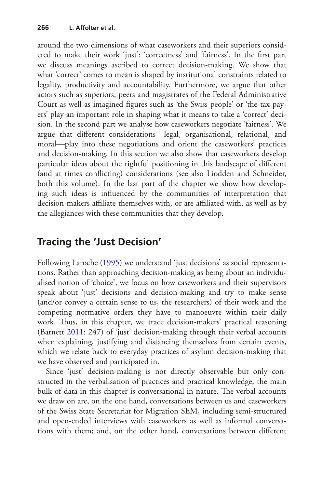around the two dimensions of what caseworkers and their superiors considered to make their work 'just': 'correctness' and 'fairness'. In the frst part we discuss meanings ascribed to correct decision-making. We show that what 'correct' comes to mean is shaped by institutional constraints related to legality, productivity and accountability. Furthermore, we argue that other actors such as superiors, peers and magistrates of the Federal Administrative Court as well as imagined fgures such as 'the Swiss people' or 'the tax payers' play an important role in shaping what it means to take a 'correct' decision. In the second part we analyse how caseworkers negotiate 'fairness'. We argue that diferent considerations—legal, organisational, relational, and moral—play into these negotiations and orient the caseworkers' practices and decision-making. In this section we also show that caseworkers develop particular ideas about the rightful positioning in this landscape of diferent (and at times conficting) considerations (see also Liodden and Schneider, both this volume). In the last part of the chapter we show how developing such ideas is infuenced by the communities of interpretation that decision-makers afliate themselves with, or are afliated with, as well as by the allegiances with these communities that they develop.

### **Tracing the 'Just Decision'**

Following Laroche [\(1995](#page-19-13)) we understand 'just decisions' as social representations. Rather than approaching decision-making as being about an individualised notion of 'choice', we focus on how caseworkers and their supervisors speak about 'just' decisions and decision-making and try to make sense (and/or convey a certain sense to us, the researchers) of their work and the competing normative orders they have to manoeuvre within their daily work. Thus, in this chapter, we trace decision-makers' practical reasoning (Barnett [2011](#page-18-0): 247) of 'just' decision-making through their verbal accounts when explaining, justifying and distancing themselves from certain events, which we relate back to everyday practices of asylum decision-making that we have observed and participated in.

Since 'just' decision-making is not directly observable but only constructed in the verbalisation of practices and practical knowledge, the main bulk of data in this chapter is conversational in nature. The verbal accounts we draw on are, on the one hand, conversations between us and caseworkers of the Swiss State Secretariat for Migration SEM, including semi-structured and open-ended interviews with caseworkers as well as informal conversations with them; and, on the other hand, conversations between diferent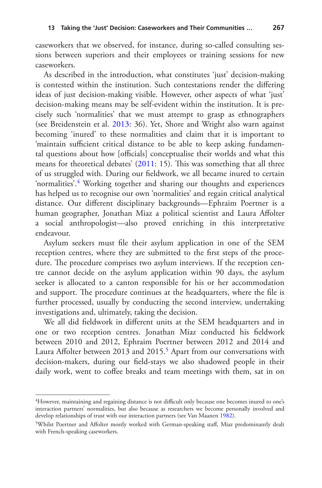caseworkers that we observed, for instance, during so-called consulting sessions between superiors and their employees or training sessions for new caseworkers.

As described in the introduction, what constitutes 'just' decision-making is contested within the institution. Such contestations render the difering ideas of just decision-making visible. However, other aspects of what 'just' decision-making means may be self-evident within the institution. It is precisely such 'normalities' that we must attempt to grasp as ethnographers (see Breidenstein et al. [2013](#page-18-1): 36). Yet, Shore and Wright also warn against becoming 'inured' to these normalities and claim that it is important to 'maintain sufficient critical distance to be able to keep asking fundamental questions about how [officials] conceptualise their worlds and what this means for theoretical debates' [\(2011](#page-20-5): 15). This was something that all three of us struggled with. During our feldwork, we all became inured to certain 'normalities'[.4](#page-4-0) Working together and sharing our thoughts and experiences has helped us to recognise our own 'normalities' and regain critical analytical distance. Our diferent disciplinary backgrounds—Ephraim Poertner is a human geographer, Jonathan Miaz a political scientist and Laura Afolter a social anthropologist—also proved enriching in this interpretative endeavour.

Asylum seekers must fle their asylum application in one of the SEM reception centres, where they are submitted to the frst steps of the procedure. The procedure comprises two asylum interviews. If the reception centre cannot decide on the asylum application within 90 days, the asylum seeker is allocated to a canton responsible for his or her accommodation and support. The procedure continues at the headquarters, where the file is further processed, usually by conducting the second interview, undertaking investigations and, ultimately, taking the decision.

We all did feldwork in diferent units at the SEM headquarters and in one or two reception centres. Jonathan Miaz conducted his feldwork between 2010 and 2012, Ephraim Poertner between 2012 and 2014 and Laura Affolter between 2013 and 2015.<sup>5</sup> Apart from our conversations with decision-makers, during our feld-stays we also shadowed people in their daily work, went to coffee breaks and team meetings with them, sat in on

<span id="page-4-0"></span><sup>&</sup>lt;sup>4</sup>However, maintaining and regaining distance is not difficult only because one becomes inured to one's interaction partners' normalities, but also because as researchers we become personally involved and develop relationships of trust with our interaction partners (see Van Maanen [1982](#page-20-6)).

<span id="page-4-1"></span><sup>5</sup>Whilst Poertner and Afolter mostly worked with German-speaking staf, Miaz predominantly dealt with French-speaking caseworkers.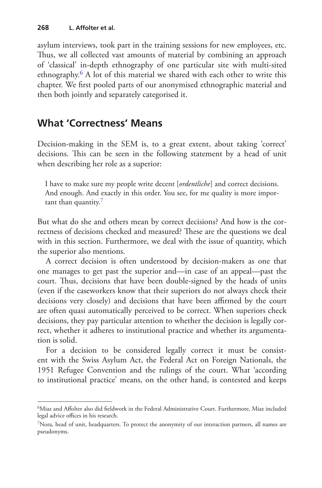asylum interviews, took part in the training sessions for new employees, etc. Thus, we all collected vast amounts of material by combining an approach of 'classical' in-depth ethnography of one particular site with multi-sited ethnography.<sup>6</sup> A lot of this material we shared with each other to write this chapter. We frst pooled parts of our anonymised ethnographic material and then both jointly and separately categorised it.

#### **What 'Correctness' Means**

Decision-making in the SEM is, to a great extent, about taking 'correct' decisions. This can be seen in the following statement by a head of unit when describing her role as a superior:

I have to make sure my people write decent [*ordentliche*] and correct decisions. And enough. And exactly in this order. You see, for me quality is more important than quantity.<sup>7</sup>

But what do she and others mean by correct decisions? And how is the correctness of decisions checked and measured? These are the questions we deal with in this section. Furthermore, we deal with the issue of quantity, which the superior also mentions.

A correct decision is often understood by decision-makers as one that one manages to get past the superior and—in case of an appeal—past the court. Thus, decisions that have been double-signed by the heads of units (even if the caseworkers know that their superiors do not always check their decisions very closely) and decisions that have been affirmed by the court are often quasi automatically perceived to be correct. When superiors check decisions, they pay particular attention to whether the decision is legally correct, whether it adheres to institutional practice and whether its argumentation is solid.

For a decision to be considered legally correct it must be consistent with the Swiss Asylum Act, the Federal Act on Foreign Nationals, the 1951 Refugee Convention and the rulings of the court. What 'according to institutional practice' means, on the other hand, is contested and keeps

<span id="page-5-0"></span><sup>6</sup>Miaz and Afolter also did feldwork in the Federal Administrative Court. Furthermore, Miaz included legal advice offices in his research.

<span id="page-5-1"></span><sup>7</sup>Nora, head of unit, headquarters. To protect the anonymity of our interaction partners, all names are pseudonyms.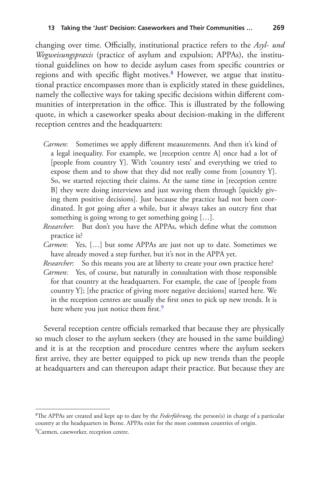changing over time. Officially, institutional practice refers to the *Asyl- und Wegweisungspraxis* (practice of asylum and expulsion; APPAs), the institutional guidelines on how to decide asylum cases from specifc countries or regions and with specific flight motives.<sup>8</sup> However, we argue that institutional practice encompasses more than is explicitly stated in these guidelines, namely the collective ways for taking specifc decisions within diferent communities of interpretation in the office. This is illustrated by the following quote, in which a caseworker speaks about decision-making in the diferent reception centres and the headquarters:

- *Carmen*: Sometimes we apply diferent measurements. And then it's kind of a legal inequality. For example, we [reception centre A] once had a lot of [people from country Y]. With 'country tests' and everything we tried to expose them and to show that they did not really come from [country Y]. So, we started rejecting their claims. At the same time in [reception centre B] they were doing interviews and just waving them through [quickly giving them positive decisions]. Just because the practice had not been coordinated. It got going after a while, but it always takes an outcry frst that something is going wrong to get something going […].
- *Researcher*: But don't you have the APPAs, which defne what the common practice is?
- *Carmen*: Yes, […] but some APPAs are just not up to date. Sometimes we have already moved a step further, but it's not in the APPA yet.
- *Researcher*: So this means you are at liberty to create your own practice here? *Carmen*: Yes, of course, but naturally in consultation with those responsible for that country at the headquarters. For example, the case of [people from country Y]; [the practice of giving more negative decisions] started here. We in the reception centres are usually the frst ones to pick up new trends. It is here where you just notice them first.<sup>[9](#page-6-1)</sup>

Several reception centre officials remarked that because they are physically so much closer to the asylum seekers (they are housed in the same building) and it is at the reception and procedure centres where the asylum seekers frst arrive, they are better equipped to pick up new trends than the people at headquarters and can thereupon adapt their practice. But because they are

<span id="page-6-0"></span><sup>8</sup>Te APPAs are created and kept up to date by the *Federführung*, the person(s) in charge of a particular country at the headquarters in Berne. APPAs exist for the most common countries of origin.

<span id="page-6-1"></span><sup>9</sup>Carmen, caseworker, reception centre.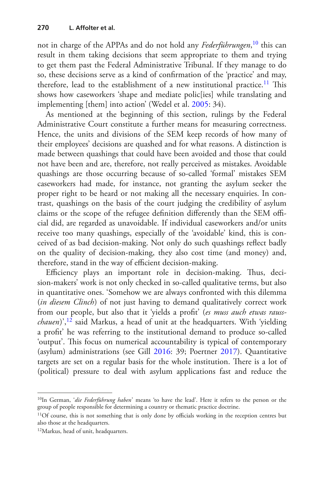not in charge of the APPAs and do not hold any *Federführungen*, [10](#page-7-0) this can result in them taking decisions that seem appropriate to them and trying to get them past the Federal Administrative Tribunal. If they manage to do so, these decisions serve as a kind of confrmation of the 'practice' and may, therefore, lead to the establishment of a new institutional practice.<sup>11</sup> This shows how caseworkers 'shape and mediate polic[ies] while translating and implementing [them] into action' (Wedel et al. [2005:](#page-20-7) 34).

As mentioned at the beginning of this section, rulings by the Federal Administrative Court constitute a further means for measuring correctness. Hence, the units and divisions of the SEM keep records of how many of their employees' decisions are quashed and for what reasons. A distinction is made between quashings that could have been avoided and those that could not have been and are, therefore, not really perceived as mistakes. Avoidable quashings are those occurring because of so-called 'formal' mistakes SEM caseworkers had made, for instance, not granting the asylum seeker the proper right to be heard or not making all the necessary enquiries. In contrast, quashings on the basis of the court judging the credibility of asylum claims or the scope of the refugee definition differently than the SEM official did, are regarded as unavoidable. If individual caseworkers and/or units receive too many quashings, especially of the 'avoidable' kind, this is conceived of as bad decision-making. Not only do such quashings refect badly on the quality of decision-making, they also cost time (and money) and, therefore, stand in the way of efficient decision-making.

Efficiency plays an important role in decision-making. Thus, decision-makers' work is not only checked in so-called qualitative terms, but also in quantitative ones. 'Somehow we are always confronted with this dilemma (*in diesem Clinch*) of not just having to demand qualitatively correct work from our people, but also that it 'yields a proft' (*es muss auch etwas rausschauen*)',[12](#page-7-2) said Markus, a head of unit at the headquarters. With 'yielding a proft' he was referring to the institutional demand to produce so-called 'output'. This focus on numerical accountability is typical of contemporary (asylum) administrations (see Gill [2016:](#page-19-4) 39; Poertner [2017\)](#page-20-8). Quantitative targets are set on a regular basis for the whole institution. There is a lot of (political) pressure to deal with asylum applications fast and reduce the

<span id="page-7-0"></span><sup>10</sup>In German, '*die Federführung haben*' means 'to have the lead'. Here it refers to the person or the group of people responsible for determining a country or thematic practice doctrine.

<span id="page-7-1"></span> $11$ Of course, this is not something that is only done by officials working in the reception centres but also those at the headquarters.

<span id="page-7-2"></span><sup>&</sup>lt;sup>12</sup>Markus, head of unit, headquarters.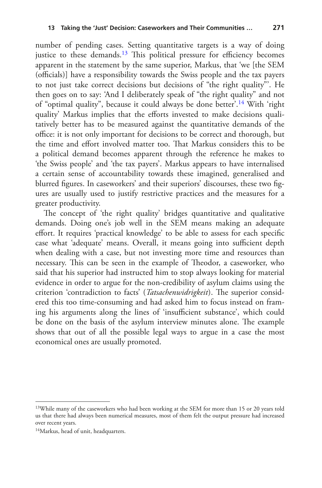number of pending cases. Setting quantitative targets is a way of doing justice to these demands.<sup>[13](#page-8-0)</sup> This political pressure for efficiency becomes apparent in the statement by the same superior, Markus, that 'we [the SEM (officials)] have a responsibility towards the Swiss people and the tax payers to not just take correct decisions but decisions of "the right quality"'. He then goes on to say: 'And I deliberately speak of "the right quality" and not of "optimal quality", because it could always be done better'.[14](#page-8-1) With 'right quality' Markus implies that the efforts invested to make decisions qualitatively better has to be measured against the quantitative demands of the office: it is not only important for decisions to be correct and thorough, but the time and effort involved matter too. That Markus considers this to be a political demand becomes apparent through the reference he makes to 'the Swiss people' and 'the tax payers'. Markus appears to have internalised a certain sense of accountability towards these imagined, generalised and blurred fgures. In caseworkers' and their superiors' discourses, these two fgures are usually used to justify restrictive practices and the measures for a greater productivity.

The concept of 'the right quality' bridges quantitative and qualitative demands. Doing one's job well in the SEM means making an adequate efort. It requires 'practical knowledge' to be able to assess for each specifc case what 'adequate' means. Overall, it means going into sufficient depth when dealing with a case, but not investing more time and resources than necessary. This can be seen in the example of Theodor, a caseworker, who said that his superior had instructed him to stop always looking for material evidence in order to argue for the non-credibility of asylum claims using the criterion 'contradiction to facts' (*Tatsachenwidrigkeit*). The superior considered this too time-consuming and had asked him to focus instead on framing his arguments along the lines of 'insufficient substance', which could be done on the basis of the asylum interview minutes alone. The example shows that out of all the possible legal ways to argue in a case the most economical ones are usually promoted.

<span id="page-8-0"></span><sup>&</sup>lt;sup>13</sup>While many of the caseworkers who had been working at the SEM for more than 15 or 20 years told us that there had always been numerical measures, most of them felt the output pressure had increased over recent years.

<span id="page-8-1"></span><sup>&</sup>lt;sup>14</sup>Markus, head of unit, headquarters.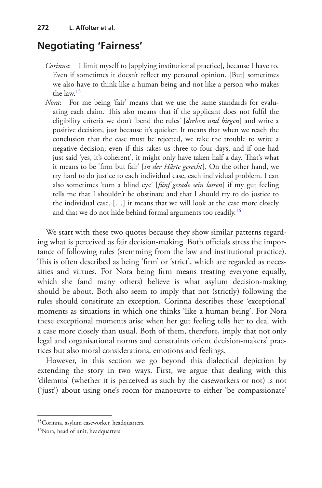#### **Negotiating 'Fairness'**

- *Corinna*: I limit myself to [applying institutional practice], because I have to. Even if sometimes it doesn't refect my personal opinion. [But] sometimes we also have to think like a human being and not like a person who makes the law  $15$
- *Nora*: For me being 'fair' means that we use the same standards for evaluating each claim. This also means that if the applicant does not fulfil the eligibility criteria we don't 'bend the rules' [*drehen und biegen*] and write a positive decision, just because it's quicker. It means that when we reach the conclusion that the case must be rejected, we take the trouble to write a negative decision, even if this takes us three to four days, and if one had just said 'yes, it's coherent', it might only have taken half a day. That's what it means to be 'frm but fair' [*in der Härte gerecht*]. On the other hand, we try hard to do justice to each individual case, each individual problem. I can also sometimes 'turn a blind eye' [*fünf gerade sein lassen*] if my gut feeling tells me that I shouldn't be obstinate and that I should try to do justice to the individual case. […] it means that we will look at the case more closely and that we do not hide behind formal arguments too readily.<sup>16</sup>

We start with these two quotes because they show similar patterns regarding what is perceived as fair decision-making. Both officials stress the importance of following rules (stemming from the law and institutional practice). This is often described as being 'firm' or 'strict', which are regarded as necessities and virtues. For Nora being frm means treating everyone equally, which she (and many others) believe is what asylum decision-making should be about. Both also seem to imply that not (strictly) following the rules should constitute an exception. Corinna describes these 'exceptional' moments as situations in which one thinks 'like a human being'. For Nora these exceptional moments arise when her gut feeling tells her to deal with a case more closely than usual. Both of them, therefore, imply that not only legal and organisational norms and constraints orient decision-makers' practices but also moral considerations, emotions and feelings.

However, in this section we go beyond this dialectical depiction by extending the story in two ways. First, we argue that dealing with this 'dilemma' (whether it is perceived as such by the caseworkers or not) is not ('just') about using one's room for manoeuvre to either 'be compassionate'

<span id="page-9-0"></span><sup>15</sup>Corinna, asylum caseworker, headquarters.

<span id="page-9-1"></span><sup>&</sup>lt;sup>16</sup>Nora, head of unit, headquarters.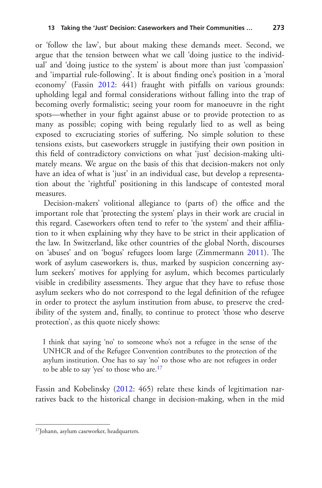or 'follow the law', but about making these demands meet. Second, we argue that the tension between what we call 'doing justice to the individual' and 'doing justice to the system' is about more than just 'compassion' and 'impartial rule-following'. It is about fnding one's position in a 'moral economy' (Fassin [2012:](#page-19-14) 441) fraught with pitfalls on various grounds: upholding legal and formal considerations without falling into the trap of becoming overly formalistic; seeing your room for manoeuvre in the right spots—whether in your fght against abuse or to provide protection to as many as possible; coping with being regularly lied to as well as being exposed to excruciating stories of sufering. No simple solution to these tensions exists, but caseworkers struggle in justifying their own position in this feld of contradictory convictions on what 'just' decision-making ultimately means. We argue on the basis of this that decision-makers not only have an idea of what is 'just' in an individual case, but develop a representation about the 'rightful' positioning in this landscape of contested moral measures.

Decision-makers' volitional allegiance to (parts of) the office and the important role that 'protecting the system' plays in their work are crucial in this regard. Caseworkers often tend to refer to 'the system' and their afliation to it when explaining why they have to be strict in their application of the law. In Switzerland, like other countries of the global North, discourses on 'abuses' and on 'bogus' refugees loom large (Zimmermann [2011\)](#page-20-9). The work of asylum caseworkers is, thus, marked by suspicion concerning asylum seekers' motives for applying for asylum, which becomes particularly visible in credibility assessments. They argue that they have to refuse those asylum seekers who do not correspond to the legal defnition of the refugee in order to protect the asylum institution from abuse, to preserve the credibility of the system and, fnally, to continue to protect 'those who deserve protection', as this quote nicely shows:

I think that saying 'no' to someone who's not a refugee in the sense of the UNHCR and of the Refugee Convention contributes to the protection of the asylum institution. One has to say 'no' to those who are not refugees in order to be able to say 'yes' to those who are.<sup>17</sup>

Fassin and Kobelinsky [\(2012](#page-19-0): 465) relate these kinds of legitimation narratives back to the historical change in decision-making, when in the mid

<span id="page-10-0"></span><sup>&</sup>lt;sup>17</sup>Johann, asylum caseworker, headquarters.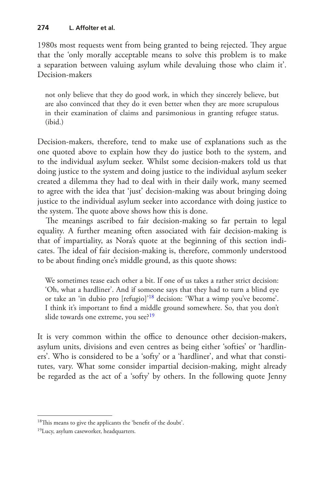1980s most requests went from being granted to being rejected. They argue that the 'only morally acceptable means to solve this problem is to make a separation between valuing asylum while devaluing those who claim it'. Decision-makers

not only believe that they do good work, in which they sincerely believe, but are also convinced that they do it even better when they are more scrupulous in their examination of claims and parsimonious in granting refugee status. (ibid.)

Decision-makers, therefore, tend to make use of explanations such as the one quoted above to explain how they do justice both to the system, and to the individual asylum seeker. Whilst some decision-makers told us that doing justice to the system and doing justice to the individual asylum seeker created a dilemma they had to deal with in their daily work, many seemed to agree with the idea that 'just' decision-making was about bringing doing justice to the individual asylum seeker into accordance with doing justice to the system. The quote above shows how this is done.

The meanings ascribed to fair decision-making so far pertain to legal equality. A further meaning often associated with fair decision-making is that of impartiality, as Nora's quote at the beginning of this section indicates. The ideal of fair decision-making is, therefore, commonly understood to be about fnding one's middle ground, as this quote shows:

We sometimes tease each other a bit. If one of us takes a rather strict decision: 'Oh, what a hardliner'. And if someone says that they had to turn a blind eye or take an 'in dubio pro [refugio]['18](#page-11-0) decision: 'What a wimp you've become'. I think it's important to fnd a middle ground somewhere. So, that you don't slide towards one extreme, you see?<sup>[19](#page-11-1)</sup>

It is very common within the office to denounce other decision-makers, asylum units, divisions and even centres as being either 'softies' or 'hardliners'. Who is considered to be a 'softy' or a 'hardliner', and what that constitutes, vary. What some consider impartial decision-making, might already be regarded as the act of a 'softy' by others. In the following quote Jenny

<span id="page-11-0"></span><sup>&</sup>lt;sup>18</sup>This means to give the applicants the 'benefit of the doubt'.

<span id="page-11-1"></span><sup>19</sup>Lucy, asylum caseworker, headquarters.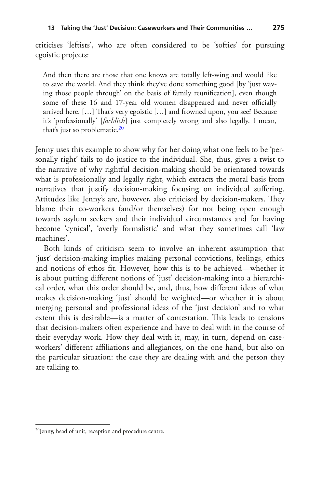criticises 'leftists', who are often considered to be 'softies' for pursuing egoistic projects:

And then there are those that one knows are totally left-wing and would like to save the world. And they think they've done something good [by 'just waving those people through' on the basis of family reunifcation], even though some of these 16 and 17-year old women disappeared and never officially arrived here. [...] That's very egoistic [...] and frowned upon, you see? Because it's 'professionally' [*fachlich*] just completely wrong and also legally. I mean, that's just so problematic. $20$ 

Jenny uses this example to show why for her doing what one feels to be 'personally right' fails to do justice to the individual. She, thus, gives a twist to the narrative of why rightful decision-making should be orientated towards what is professionally and legally right, which extracts the moral basis from narratives that justify decision-making focusing on individual sufering. Attitudes like Jenny's are, however, also criticised by decision-makers. They blame their co-workers (and/or themselves) for not being open enough towards asylum seekers and their individual circumstances and for having become 'cynical', 'overly formalistic' and what they sometimes call 'law machines'.

Both kinds of criticism seem to involve an inherent assumption that 'just' decision-making implies making personal convictions, feelings, ethics and notions of ethos ft. However, how this is to be achieved—whether it is about putting diferent notions of 'just' decision-making into a hierarchical order, what this order should be, and, thus, how diferent ideas of what makes decision-making 'just' should be weighted—or whether it is about merging personal and professional ideas of the 'just decision' and to what extent this is desirable—is a matter of contestation. This leads to tensions that decision-makers often experience and have to deal with in the course of their everyday work. How they deal with it, may, in turn, depend on caseworkers' diferent afliations and allegiances, on the one hand, but also on the particular situation: the case they are dealing with and the person they are talking to.

<span id="page-12-0"></span><sup>&</sup>lt;sup>20</sup>Jenny, head of unit, reception and procedure centre.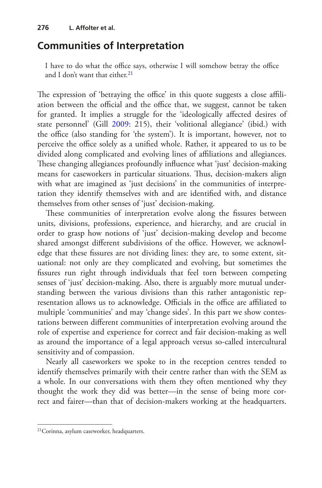#### **Communities of Interpretation**

I have to do what the office says, otherwise I will somehow betray the office and I don't want that either.<sup>[21](#page-13-0)</sup>

The expression of 'betraying the office' in this quote suggests a close affiliation between the official and the office that, we suggest, cannot be taken for granted. It implies a struggle for the 'ideologically afected desires of state personnel' (Gill [2009:](#page-19-3) 215), their 'volitional allegiance' (ibid.) with the office (also standing for 'the system'). It is important, however, not to perceive the office solely as a unified whole. Rather, it appeared to us to be divided along complicated and evolving lines of afliations and allegiances. These changing allegiances profoundly influence what 'just' decision-making means for caseworkers in particular situations. Thus, decision-makers align with what are imagined as 'just decisions' in the communities of interpretation they identify themselves with and are identifed with, and distance themselves from other senses of 'just' decision-making.

These communities of interpretation evolve along the fissures between units, divisions, professions, experience, and hierarchy, and are crucial in order to grasp how notions of 'just' decision-making develop and become shared amongst different subdivisions of the office. However, we acknowledge that these fssures are not dividing lines: they are, to some extent, situational: not only are they complicated and evolving, but sometimes the fssures run right through individuals that feel torn between competing senses of 'just' decision-making. Also, there is arguably more mutual understanding between the various divisions than this rather antagonistic representation allows us to acknowledge. Officials in the office are affiliated to multiple 'communities' and may 'change sides'. In this part we show contestations between diferent communities of interpretation evolving around the role of expertise and experience for correct and fair decision-making as well as around the importance of a legal approach versus so-called intercultural sensitivity and of compassion.

Nearly all caseworkers we spoke to in the reception centres tended to identify themselves primarily with their centre rather than with the SEM as a whole. In our conversations with them they often mentioned why they thought the work they did was better—in the sense of being more correct and fairer—than that of decision-makers working at the headquarters.

<span id="page-13-0"></span><sup>21</sup>Corinna, asylum caseworker, headquarters.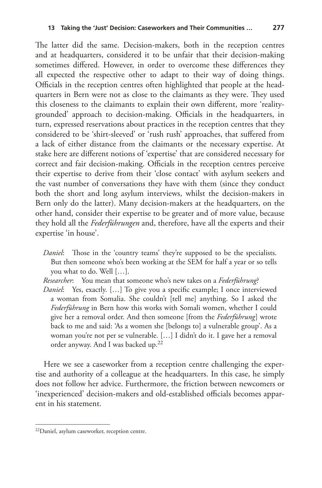The latter did the same. Decision-makers, both in the reception centres and at headquarters, considered it to be unfair that their decision-making sometimes difered. However, in order to overcome these diferences they all expected the respective other to adapt to their way of doing things. Officials in the reception centres often highlighted that people at the headquarters in Bern were not as close to the claimants as they were. They used this closeness to the claimants to explain their own diferent, more 'realitygrounded' approach to decision-making. Officials in the headquarters, in turn, expressed reservations about practices in the reception centres that they considered to be 'shirt-sleeved' or 'rush rush' approaches, that sufered from a lack of either distance from the claimants or the necessary expertise. At stake here are diferent notions of 'expertise' that are considered necessary for correct and fair decision-making. Officials in the reception centres perceive their expertise to derive from their 'close contact' with asylum seekers and the vast number of conversations they have with them (since they conduct both the short and long asylum interviews, whilst the decision-makers in Bern only do the latter). Many decision-makers at the headquarters, on the other hand, consider their expertise to be greater and of more value, because they hold all the *Federführungen* and, therefore, have all the experts and their expertise 'in house'.

*Daniel*: Those in the 'country teams' they're supposed to be the specialists. But then someone who's been working at the SEM for half a year or so tells you what to do. Well […].

*Researcher*: You mean that someone who's new takes on a *Federführung*?

*Daniel*: Yes, exactly. […] To give you a specifc example; I once interviewed a woman from Somalia. She couldn't [tell me] anything. So I asked the *Federführung* in Bern how this works with Somali women, whether I could give her a removal order. And then someone [from the *Federführung*] wrote back to me and said: 'As a women she [belongs to] a vulnerable group'. As a woman you're not per se vulnerable. [...] I didn't do it. I gave her a removal order anyway. And I was backed up.<sup>22</sup>

Here we see a caseworker from a reception centre challenging the expertise and authority of a colleague at the headquarters. In this case, he simply does not follow her advice. Furthermore, the friction between newcomers or 'inexperienced' decision-makers and old-established officials becomes apparent in his statement.

<span id="page-14-0"></span><sup>22</sup>Daniel, asylum caseworker, reception centre.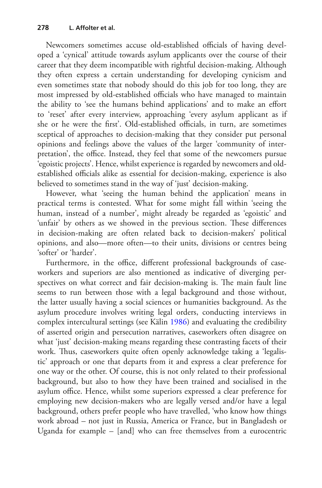Newcomers sometimes accuse old-established officials of having developed a 'cynical' attitude towards asylum applicants over the course of their career that they deem incompatible with rightful decision-making. Although they often express a certain understanding for developing cynicism and even sometimes state that nobody should do this job for too long, they are most impressed by old-established officials who have managed to maintain the ability to 'see the humans behind applications' and to make an efort to 'reset' after every interview, approaching 'every asylum applicant as if she or he were the first'. Old-established officials, in turn, are sometimes sceptical of approaches to decision-making that they consider put personal opinions and feelings above the values of the larger 'community of interpretation', the office. Instead, they feel that some of the newcomers pursue 'egoistic projects'. Hence, whilst experience is regarded by newcomers and oldestablished officials alike as essential for decision-making, experience is also believed to sometimes stand in the way of 'just' decision-making.

However, what 'seeing the human behind the application' means in practical terms is contested. What for some might fall within 'seeing the human, instead of a number', might already be regarded as 'egoistic' and 'unfair' by others as we showed in the previous section. These differences in decision-making are often related back to decision-makers' political opinions, and also—more often—to their units, divisions or centres being 'softer' or 'harder'.

Furthermore, in the office, different professional backgrounds of caseworkers and superiors are also mentioned as indicative of diverging perspectives on what correct and fair decision-making is. The main fault line seems to run between those with a legal background and those without, the latter usually having a social sciences or humanities background. As the asylum procedure involves writing legal orders, conducting interviews in complex intercultural settings (see Kälin [1986](#page-19-15)) and evaluating the credibility of asserted origin and persecution narratives, caseworkers often disagree on what 'just' decision-making means regarding these contrasting facets of their work. Thus, caseworkers quite often openly acknowledge taking a 'legalistic' approach or one that departs from it and express a clear preference for one way or the other. Of course, this is not only related to their professional background, but also to how they have been trained and socialised in the asylum office. Hence, whilst some superiors expressed a clear preference for employing new decision-makers who are legally versed and/or have a legal background, others prefer people who have travelled, 'who know how things work abroad – not just in Russia, America or France, but in Bangladesh or Uganda for example – [and] who can free themselves from a eurocentric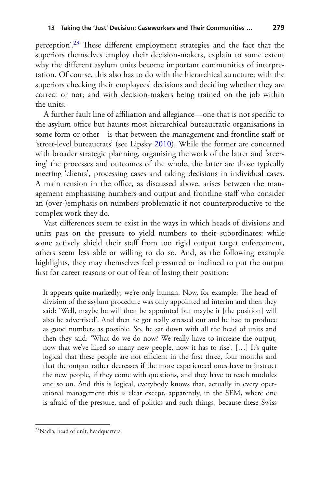perception'.<sup>23</sup> These different employment strategies and the fact that the superiors themselves employ their decision-makers, explain to some extent why the diferent asylum units become important communities of interpretation. Of course, this also has to do with the hierarchical structure; with the superiors checking their employees' decisions and deciding whether they are correct or not; and with decision-makers being trained on the job within the units.

A further fault line of afliation and allegiance—one that is not specifc to the asylum office but haunts most hierarchical bureaucratic organisations in some form or other—is that between the management and frontline staf or 'street-level bureaucrats' (see Lipsky [2010\)](#page-19-1). While the former are concerned with broader strategic planning, organising the work of the latter and 'steering' the processes and outcomes of the whole, the latter are those typically meeting 'clients', processing cases and taking decisions in individual cases. A main tension in the office, as discussed above, arises between the management emphasising numbers and output and frontline staf who consider an (over-)emphasis on numbers problematic if not counterproductive to the complex work they do.

Vast diferences seem to exist in the ways in which heads of divisions and units pass on the pressure to yield numbers to their subordinates: while some actively shield their staff from too rigid output target enforcement, others seem less able or willing to do so. And, as the following example highlights, they may themselves feel pressured or inclined to put the output frst for career reasons or out of fear of losing their position:

It appears quite markedly; we're only human. Now, for example: The head of division of the asylum procedure was only appointed ad interim and then they said: 'Well, maybe he will then be appointed but maybe it [the position] will also be advertised'. And then he got really stressed out and he had to produce as good numbers as possible. So, he sat down with all the head of units and then they said: 'What do we do now? We really have to increase the output, now that we've hired so many new people, now it has to rise'. […] It's quite logical that these people are not efficient in the first three, four months and that the output rather decreases if the more experienced ones have to instruct the new people, if they come with questions, and they have to teach modules and so on. And this is logical, everybody knows that, actually in every operational management this is clear except, apparently, in the SEM, where one is afraid of the pressure, and of politics and such things, because these Swiss

<span id="page-16-0"></span><sup>&</sup>lt;sup>23</sup>Nadia, head of unit, headquarters.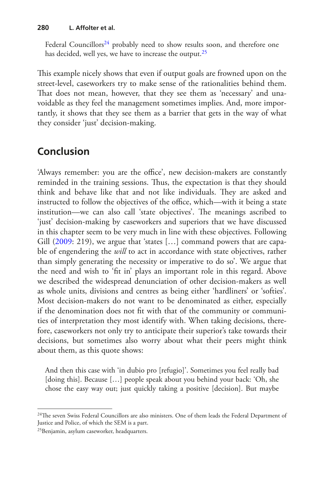Federal Councillors<sup>[24](#page-17-0)</sup> probably need to show results soon, and therefore one has decided, well yes, we have to increase the output.<sup>25</sup>

This example nicely shows that even if output goals are frowned upon on the street-level, caseworkers try to make sense of the rationalities behind them. That does not mean, however, that they see them as 'necessary' and unavoidable as they feel the management sometimes implies. And, more importantly, it shows that they see them as a barrier that gets in the way of what they consider 'just' decision-making.

# **Conclusion**

'Always remember: you are the office', new decision-makers are constantly reminded in the training sessions. Thus, the expectation is that they should think and behave like that and not like individuals. They are asked and instructed to follow the objectives of the office, which—with it being a state institution—we can also call 'state objectives'. The meanings ascribed to 'just' decision-making by caseworkers and superiors that we have discussed in this chapter seem to be very much in line with these objectives. Following Gill [\(2009](#page-19-3): 219), we argue that 'states [...] command powers that are capable of engendering the *will* to act in accordance with state objectives, rather than simply generating the necessity or imperative to do so'. We argue that the need and wish to 'ft in' plays an important role in this regard. Above we described the widespread denunciation of other decision-makers as well as whole units, divisions and centres as being either 'hardliners' or 'softies'. Most decision-makers do not want to be denominated as either, especially if the denomination does not ft with that of the community or communities of interpretation they most identify with. When taking decisions, therefore, caseworkers not only try to anticipate their superior's take towards their decisions, but sometimes also worry about what their peers might think about them, as this quote shows:

And then this case with 'in dubio pro [refugio]'. Sometimes you feel really bad [doing this]. Because [...] people speak about you behind your back: 'Oh, she chose the easy way out; just quickly taking a positive [decision]. But maybe

<span id="page-17-0"></span><sup>&</sup>lt;sup>24</sup>The seven Swiss Federal Councillors are also ministers. One of them leads the Federal Department of Justice and Police, of which the SEM is a part.

<span id="page-17-1"></span><sup>25</sup>Benjamin, asylum caseworker, headquarters.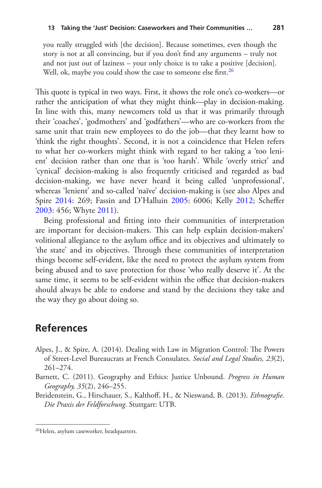you really struggled with [the decision]. Because sometimes, even though the story is not at all convincing, but if you don't fnd any arguments – truly not and not just out of laziness – your only choice is to take a positive [decision]. Well, ok, maybe you could show the case to someone else first.<sup>[26](#page-18-2)</sup>

This quote is typical in two ways. First, it shows the role one's co-workers—or rather the anticipation of what they might think—play in decision-making. In line with this, many newcomers told us that it was primarily through their 'coaches', 'godmothers' and 'godfathers'—who are co-workers from the same unit that train new employees to do the job—that they learnt how to 'think the right thoughts'. Second, it is not a coincidence that Helen refers to what her co-workers might think with regard to her taking a 'too lenient' decision rather than one that is 'too harsh'. While 'overly strict' and 'cynical' decision-making is also frequently criticised and regarded as bad decision-making, we have never heard it being called 'unprofessional', whereas 'lenient' and so-called 'naïve' decision-making is (see also Alpes and Spire [2014](#page-18-3): 269; Fassin and D'Halluin [2005:](#page-19-16) 6006; Kelly [2012](#page-19-17); Schefer [2003](#page-20-10): 456; Whyte [2011\)](#page-20-11).

Being professional and ftting into their communities of interpretation are important for decision-makers. This can help explain decision-makers' volitional allegiance to the asylum office and its objectives and ultimately to 'the state' and its objectives. Through these communities of interpretation things become self-evident, like the need to protect the asylum system from being abused and to save protection for those 'who really deserve it'. At the same time, it seems to be self-evident within the office that decision-makers should always be able to endorse and stand by the decisions they take and the way they go about doing so.

#### **References**

- <span id="page-18-3"></span>Alpes, J., & Spire, A. (2014). Dealing with Law in Migration Control: The Powers of Street-Level Bureaucrats at French Consulates. *Social and Legal Studies, 23*(2), 261–274.
- <span id="page-18-0"></span>Barnett, C. (2011). Geography and Ethics: Justice Unbound. *Progress in Human Geography, 35*(2), 246–255.
- <span id="page-18-1"></span>Breidenstein, G., Hirschauer, S., Kalthof, H., & Nieswand, B. (2013). *Ethnografe. Die Praxis der Feldforschung*. Stuttgart: UTB.

<span id="page-18-2"></span><sup>26</sup>Helen, asylum caseworker, headquarters.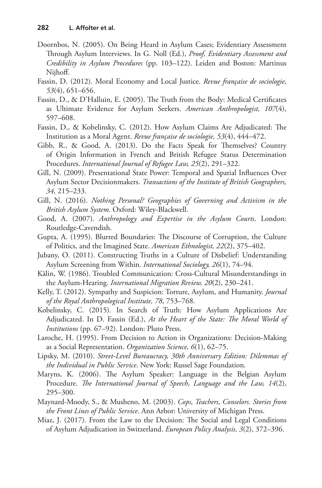- <span id="page-19-9"></span>Doornbos, N. (2005). On Being Heard in Asylum Cases; Evidentiary Assessment Through Asylum Interviews. In G. Noll (Ed.), *Proof, Evidentiary Assessment and Credibility in Asylum Procedures* (pp. 103–122). Leiden and Boston: Martinus Nijhof.
- <span id="page-19-14"></span>Fassin, D. (2012). Moral Economy and Local Justice. *Revue française de sociologie, 53*(4), 651–656.
- <span id="page-19-16"></span>Fassin, D., & D'Halluin, E. (2005). The Truth from the Body: Medical Certificates as Ultimate Evidence for Asylum Seekers. *American Anthropologist, 107*(4), 597–608.
- <span id="page-19-0"></span>Fassin, D., & Kobelinsky, C. (2012). How Asylum Claims Are Adjudicated: The Institution as a Moral Agent. *Revue française de sociologie, 53*(4), 444–472.
- <span id="page-19-11"></span>Gibb, R., & Good, A. (2013). Do the Facts Speak for Themselves? Country of Origin Information in French and British Refugee Status Determination Procedures. *International Journal of Refugee Law, 25*(2), 291–322.
- <span id="page-19-3"></span>Gill, N. (2009). Presentational State Power: Temporal and Spatial Infuences Over Asylum Sector Decisionmakers. *Transactions of the Institute of British Geographers, 34,* 215–233.
- <span id="page-19-4"></span>Gill, N. (2016). *Nothing Personal? Geographies of Governing and Activism in the British Asylum System*. Oxford: Wiley-Blackwell.
- <span id="page-19-10"></span>Good, A. (2007). *Anthropology and Expertise in the Asylum Courts*. London: Routledge-Cavendish.
- <span id="page-19-12"></span>Gupta, A. (1995). Blurred Boundaries: The Discourse of Corruption, the Culture of Politics, and the Imagined State. *American Ethnologist, 22*(2), 375–402.
- <span id="page-19-5"></span>Jubany, O. (2011). Constructing Truths in a Culture of Disbelief: Understanding Asylum Screening from Within. *International Sociology, 26*(1), 74–94.
- <span id="page-19-15"></span>Kälin, W. (1986). Troubled Communication: Cross-Cultural Misunderstandings in the Asylum-Hearing. *International Migration Review, 20*(2), 230–241.
- <span id="page-19-17"></span>Kelly, T. (2012). Sympathy and Suspicion: Torture, Asylum, and Humanity. *Journal of the Royal Anthropological Institute, 78,* 753–768.
- <span id="page-19-6"></span>Kobelinsky, C. (2015). In Search of Truth: How Asylum Applications Are Adjudicated. In D. Fassin (Ed.), *At the Heart of the State: The Moral World of Institutions* (pp. 67–92). London: Pluto Press.
- <span id="page-19-13"></span>Laroche, H. (1995). From Decision to Action in Organizations: Decision-Making as a Social Representation. *Organization Science, 6*(1), 62–75.
- <span id="page-19-1"></span>Lipsky, M. (2010). *Street-Level Bureaucracy, 30th Anniversary Edition: Dilemmas of the Individual in Public Service*. New York: Russel Sage Foundation.
- <span id="page-19-7"></span>Maryns, K. (2006). The Asylum Speaker: Language in the Belgian Asylum Procedure. *The International Journal of Speech, Language and the Law, 14(2),* 295–300.
- <span id="page-19-2"></span>Maynard-Moody, S., & Musheno, M. (2003). *Cops, Teachers, Conselors. Stories from the Front Lines of Public Service*. Ann Arbor: University of Michigan Press.
- <span id="page-19-8"></span>Miaz, J. (2017). From the Law to the Decision: The Social and Legal Conditions of Asylum Adjudication in Switzerland. *European Policy Analysis, 3*(2), 372–396.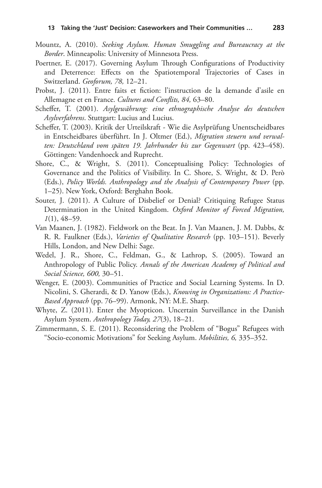- <span id="page-20-0"></span>Mountz, A. (2010). *Seeking Asylum. Human Smuggling and Bureaucracy at the Border*. Minneapolis: University of Minnesota Press.
- <span id="page-20-8"></span>Poertner, E. (2017). Governing Asylum Through Configurations of Productivity and Deterrence: Efects on the Spatiotemporal Trajectories of Cases in Switzerland. *Geoforum, 78,* 12–21.
- <span id="page-20-2"></span>Probst, J. (2011). Entre faits et fction: l'instruction de la demande d'asile en Allemagne et en France. *Cultures and Confits, 84,* 63–80.
- <span id="page-20-4"></span>Scheffer, T. (2001). Asylgewährung: eine ethnographische Analyse des deutschen *Asylverfahrens*. Stuttgart: Lucius and Lucius.
- <span id="page-20-10"></span>Schefer, T. (2003). Kritik der Urteilskraft - Wie die Asylprüfung Unentscheidbares in Entscheidbares überführt. In J. Oltmer (Ed.), *Migration steuern und verwalten: Deutschland vom späten 19. Jahrhunder bis zur Gegenwart* (pp. 423–458). Göttingen: Vandenhoeck and Ruprecht.
- <span id="page-20-5"></span>Shore, C., & Wright, S. (2011). Conceptualising Policy: Technologies of Governance and the Politics of Visibility. In C. Shore, S. Wright, & D. Però (Eds.), *Policy Worlds. Anthropology and the Analysis of Contemporary Power* (pp. 1–25). New York, Oxford: Berghahn Book.
- <span id="page-20-3"></span>Souter, J. (2011). A Culture of Disbelief or Denial? Critiquing Refugee Status Determination in the United Kingdom. *Oxford Monitor of Forced Migration, 1*(1), 48–59.
- <span id="page-20-6"></span>Van Maanen, J. (1982). Fieldwork on the Beat. In J. Van Maanen, J. M. Dabbs, & R. R. Faulkner (Eds.), *Varieties of Qualitative Research* (pp. 103–151). Beverly Hills, London, and New Delhi: Sage.
- <span id="page-20-7"></span>Wedel, J. R., Shore, C., Feldman, G., & Lathrop, S. (2005). Toward an Anthropology of Public Policy. *Annals of the American Academy of Political and Social Science, 600,* 30–51.
- <span id="page-20-1"></span>Wenger, E. (2003). Communities of Practice and Social Learning Systems. In D. Nicolini, S. Gherardi, & D. Yanow (Eds.), *Knowing in Organizations: A Practice-Based Approach* (pp. 76–99). Armonk, NY: M.E. Sharp.
- <span id="page-20-11"></span>Whyte, Z. (2011). Enter the Myopticon. Uncertain Surveillance in the Danish Asylum System. *Anthropology Today, 27*(3), 18–21.
- <span id="page-20-9"></span>Zimmermann, S. E. (2011). Reconsidering the Problem of "Bogus" Refugees with "Socio-economic Motivations" for Seeking Asylum. *Mobilities, 6,* 335–352.